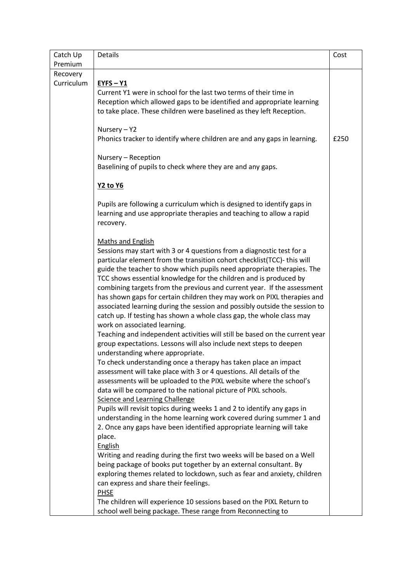| Catch Up   | Details                                                                                                                                                                                                                                                                                                                                                                                                                                                                                                                                                                                                                                                                                                                                                                                                                                                                                                                                                                                                                                                                                                                                                                                                                                                                                                                                                                                                                                                                                                                                                                                                                                                                                                                                 | Cost |
|------------|-----------------------------------------------------------------------------------------------------------------------------------------------------------------------------------------------------------------------------------------------------------------------------------------------------------------------------------------------------------------------------------------------------------------------------------------------------------------------------------------------------------------------------------------------------------------------------------------------------------------------------------------------------------------------------------------------------------------------------------------------------------------------------------------------------------------------------------------------------------------------------------------------------------------------------------------------------------------------------------------------------------------------------------------------------------------------------------------------------------------------------------------------------------------------------------------------------------------------------------------------------------------------------------------------------------------------------------------------------------------------------------------------------------------------------------------------------------------------------------------------------------------------------------------------------------------------------------------------------------------------------------------------------------------------------------------------------------------------------------------|------|
| Premium    |                                                                                                                                                                                                                                                                                                                                                                                                                                                                                                                                                                                                                                                                                                                                                                                                                                                                                                                                                                                                                                                                                                                                                                                                                                                                                                                                                                                                                                                                                                                                                                                                                                                                                                                                         |      |
| Recovery   |                                                                                                                                                                                                                                                                                                                                                                                                                                                                                                                                                                                                                                                                                                                                                                                                                                                                                                                                                                                                                                                                                                                                                                                                                                                                                                                                                                                                                                                                                                                                                                                                                                                                                                                                         |      |
| Curriculum | $EYFS - Y1$<br>Current Y1 were in school for the last two terms of their time in<br>Reception which allowed gaps to be identified and appropriate learning<br>to take place. These children were baselined as they left Reception.                                                                                                                                                                                                                                                                                                                                                                                                                                                                                                                                                                                                                                                                                                                                                                                                                                                                                                                                                                                                                                                                                                                                                                                                                                                                                                                                                                                                                                                                                                      |      |
|            | Nursery - Y2<br>Phonics tracker to identify where children are and any gaps in learning.                                                                                                                                                                                                                                                                                                                                                                                                                                                                                                                                                                                                                                                                                                                                                                                                                                                                                                                                                                                                                                                                                                                                                                                                                                                                                                                                                                                                                                                                                                                                                                                                                                                | £250 |
|            | Nursery - Reception<br>Baselining of pupils to check where they are and any gaps.                                                                                                                                                                                                                                                                                                                                                                                                                                                                                                                                                                                                                                                                                                                                                                                                                                                                                                                                                                                                                                                                                                                                                                                                                                                                                                                                                                                                                                                                                                                                                                                                                                                       |      |
|            | <b>Y2 to Y6</b>                                                                                                                                                                                                                                                                                                                                                                                                                                                                                                                                                                                                                                                                                                                                                                                                                                                                                                                                                                                                                                                                                                                                                                                                                                                                                                                                                                                                                                                                                                                                                                                                                                                                                                                         |      |
|            | Pupils are following a curriculum which is designed to identify gaps in<br>learning and use appropriate therapies and teaching to allow a rapid<br>recovery.                                                                                                                                                                                                                                                                                                                                                                                                                                                                                                                                                                                                                                                                                                                                                                                                                                                                                                                                                                                                                                                                                                                                                                                                                                                                                                                                                                                                                                                                                                                                                                            |      |
|            | <b>Maths and English</b><br>Sessions may start with 3 or 4 questions from a diagnostic test for a<br>particular element from the transition cohort checklist(TCC)- this will<br>guide the teacher to show which pupils need appropriate therapies. The<br>TCC shows essential knowledge for the children and is produced by<br>combining targets from the previous and current year. If the assessment<br>has shown gaps for certain children they may work on PIXL therapies and<br>associated learning during the session and possibly outside the session to<br>catch up. If testing has shown a whole class gap, the whole class may<br>work on associated learning.<br>Teaching and independent activities will still be based on the current year<br>group expectations. Lessons will also include next steps to deepen<br>understanding where appropriate.<br>To check understanding once a therapy has taken place an impact<br>assessment will take place with 3 or 4 questions. All details of the<br>assessments will be uploaded to the PIXL website where the school's<br>data will be compared to the national picture of PIXL schools.<br><b>Science and Learning Challenge</b><br>Pupils will revisit topics during weeks 1 and 2 to identify any gaps in<br>understanding in the home learning work covered during summer 1 and<br>2. Once any gaps have been identified appropriate learning will take<br>place.<br><b>English</b><br>Writing and reading during the first two weeks will be based on a Well<br>being package of books put together by an external consultant. By<br>exploring themes related to lockdown, such as fear and anxiety, children<br>can express and share their feelings.<br><b>PHSE</b> |      |
|            | The children will experience 10 sessions based on the PIXL Return to<br>school well being package. These range from Reconnecting to                                                                                                                                                                                                                                                                                                                                                                                                                                                                                                                                                                                                                                                                                                                                                                                                                                                                                                                                                                                                                                                                                                                                                                                                                                                                                                                                                                                                                                                                                                                                                                                                     |      |